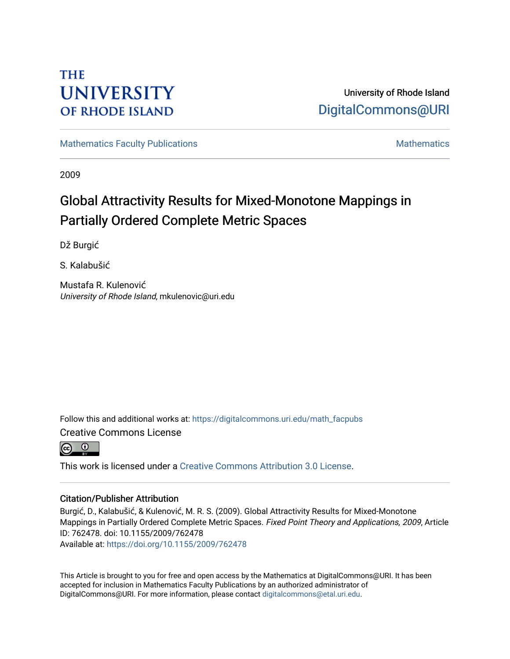# **THE UNIVERSITY OF RHODE ISLAND**

University of Rhode Island [DigitalCommons@URI](https://digitalcommons.uri.edu/) 

[Mathematics Faculty Publications](https://digitalcommons.uri.edu/math_facpubs) [Mathematics](https://digitalcommons.uri.edu/math) Mathematics Mathematics

2009

# Global Attractivity Results for Mixed-Monotone Mappings in Partially Ordered Complete Metric Spaces

Dž Burgić

S. Kalabušić

Mustafa R. Kulenović University of Rhode Island, mkulenovic@uri.edu

Follow this and additional works at: [https://digitalcommons.uri.edu/math\\_facpubs](https://digitalcommons.uri.edu/math_facpubs?utm_source=digitalcommons.uri.edu%2Fmath_facpubs%2F45&utm_medium=PDF&utm_campaign=PDFCoverPages)  Creative Commons License



This work is licensed under a [Creative Commons Attribution 3.0 License](https://creativecommons.org/licenses/by/3.0/).

## Citation/Publisher Attribution

Burgić, D., Kalabušić, & Kulenović, M. R. S. (2009). Global Attractivity Results for Mixed-Monotone Mappings in Partially Ordered Complete Metric Spaces. Fixed Point Theory and Applications, 2009, Article ID: 762478. doi: 10.1155/2009/762478

Available at:<https://doi.org/10.1155/2009/762478>

This Article is brought to you for free and open access by the Mathematics at DigitalCommons@URI. It has been accepted for inclusion in Mathematics Faculty Publications by an authorized administrator of DigitalCommons@URI. For more information, please contact [digitalcommons@etal.uri.edu.](mailto:digitalcommons@etal.uri.edu)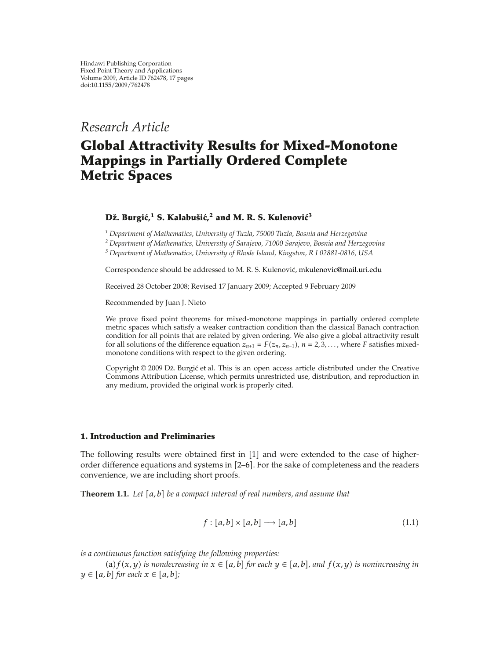*Research Article*

## **Global Attractivity Results for Mixed-Monotone Mappings in Partially Ordered Complete Metric Spaces**

### **Dž.** Burgić,<sup>1</sup> S. Kalabušić,<sup>2</sup> and M. R. S. Kulenović<sup>3</sup>

*<sup>1</sup> Department of Mathematics, University of Tuzla, 75000 Tuzla, Bosnia and Herzegovina <sup>2</sup> Department of Mathematics, University of Sarajevo, 71000 Sarajevo, Bosnia and Herzegovina*

*<sup>3</sup> Department of Mathematics, University of Rhode Island, Kingston, R I 02881-0816, USA*

Correspondence should be addressed to M. R. S. Kulenović, mkulenovic@mail.uri.edu

Received 28 October 2008; Revised 17 January 2009; Accepted 9 February 2009

Recommended by Juan J. Nieto

We prove fixed point theorems for mixed-monotone mappings in partially ordered complete metric spaces which satisfy a weaker contraction condition than the classical Banach contraction condition for all points that are related by given ordering. We also give a global attractivity result for all solutions of the difference equation  $z_{n+1} = F(z_n, z_{n-1}), n = 2, 3, \ldots$ , where *F* satisfies mixedmonotone conditions with respect to the given ordering.

Copyright © 2009 Dž. Burgić et al. This is an open access article distributed under the Creative Commons Attribution License, which permits unrestricted use, distribution, and reproduction in any medium, provided the original work is properly cited.

#### **1. Introduction and Preliminaries**

The following results were obtained first in  $[1]$  and were extended to the case of higherorder difference equations and systems in  $[2-6]$ . For the sake of completeness and the readers convenience, we are including short proofs.

**Theorem 1.1.** Let [a, b] be a compact interval of real numbers, and assume that

$$
f: [a,b] \times [a,b] \longrightarrow [a,b] \tag{1.1}
$$

*is a continuous function satisfying the following properties:*

(a)  $f(x, y)$  is nondecreasing in  $x \in [a, b]$  for each  $y \in [a, b]$ , and  $f(x, y)$  is nonincreasing in  $y \in [a, b]$  for each  $x \in [a, b]$ ;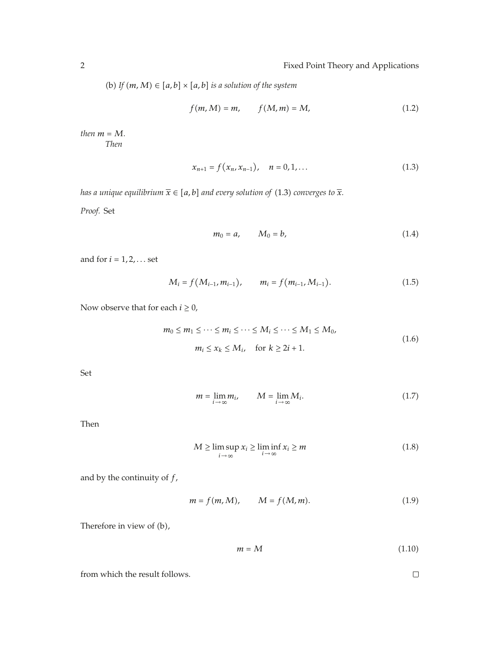(b) If  $(m, M) \in [a, b] \times [a, b]$  *is a solution of the system* 

$$
f(m, M) = m, \qquad f(M, m) = M,\tag{1.2}
$$

*then*  $m = M$ *. Then*

$$
x_{n+1} = f(x_n, x_{n-1}), \quad n = 0, 1, ... \tag{1.3}
$$

*has a unique equilibrium*  $\overline{x} \in [a, b]$  *and every solution of* (1.3) *converges to*  $\overline{x}$ *.* 

*Proof.* Set

$$
m_0 = a, \qquad M_0 = b,\tag{1.4}
$$

and for  $i = 1, 2, \ldots$  set

$$
M_i = f(M_{i-1}, m_{i-1}), \qquad m_i = f(m_{i-1}, M_{i-1}). \tag{1.5}
$$

Now observe that for each  $i \geq 0$ ,

$$
m_0 \le m_1 \le \dots \le m_i \le \dots \le M_i \le \dots \le M_1 \le M_0,
$$
  
\n
$$
m_i \le x_k \le M_i, \quad \text{for } k \ge 2i+1.
$$
\n(1.6)

Set

$$
m = \lim_{i \to \infty} m_i, \qquad M = \lim_{i \to \infty} M_i.
$$
 (1.7)

Then

$$
M \ge \limsup_{i \to \infty} x_i \ge \liminf_{i \to \infty} x_i \ge m
$$
\n(1.8)

and by the continuity of *f*,

$$
m = f(m, M), \qquad M = f(M, m).
$$
 (1.9)

Therefore in view of  $(b)$ ,

$$
m = M \tag{1.10}
$$

from which the result follows.

 $\Box$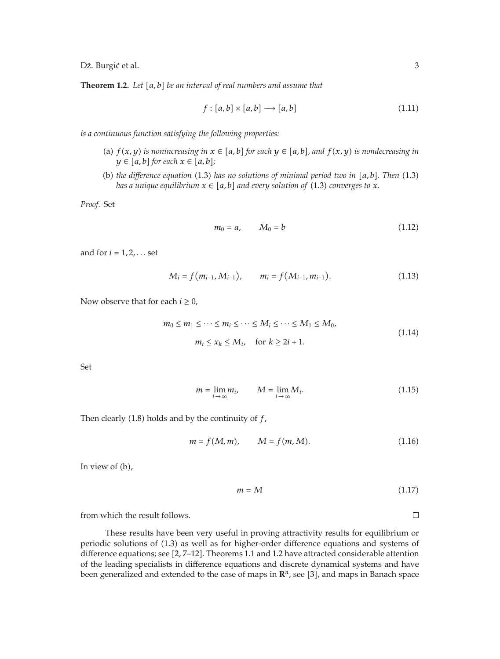Dž. Burgić et al.  $\frac{3}{2}$ 

**Theorem 1.2.** Let [a, b] be an interval of real numbers and assume that

$$
f: [a, b] \times [a, b] \longrightarrow [a, b]
$$
\n
$$
(1.11)
$$

*is a continuous function satisfying the following properties:*

- (a)  $f(x, y)$  *is nonincreasing in*  $x \in [a, b]$  *for each*  $y \in [a, b]$ *, and*  $f(x, y)$  *is nondecreasing in*  $y \in [a, b]$  for each  $x \in [a, b]$ ;
- (b) the difference equation  $(1.3)$  has no solutions of minimal period two in  $[a, b]$ . Then  $(1.3)$ *has a unique equilibrium*  $\overline{x} \in [a, b]$  *and every solution of* (1.3) *converges to*  $\overline{x}$ *.*

*Proof.* Set

$$
m_0 = a, \qquad M_0 = b \tag{1.12}
$$

and for  $i = 1, 2, \ldots$  set

$$
M_i = f(m_{i-1}, M_{i-1}), \qquad m_i = f(M_{i-1}, m_{i-1}). \tag{1.13}
$$

Now observe that for each  $i \geq 0$ ,

$$
m_0 \le m_1 \le \dots \le m_i \le \dots \le M_i \le \dots \le M_1 \le M_0,
$$
  
\n
$$
m_i \le x_k \le M_i, \quad \text{for } k \ge 2i+1.
$$
\n(1.14)

Set

$$
m = \lim_{i \to \infty} m_i, \qquad M = \lim_{i \to \infty} M_i.
$$
 (1.15)

Then clearly  $(1.8)$  holds and by the continuity of  $f$ ,

$$
m = f(M, m), \qquad M = f(m, M).
$$
 (1.16)

In view of  $(b)$ ,

$$
m = M \tag{1.17}
$$

from which the result follows.

These results have been very useful in proving attractivity results for equilibrium or periodic solutions of 1.3 as well as for higher-order difference equations and systems of difference equations; see  $[2, 7-12]$ . Theorems 1.1 and 1.2 have attracted considerable attention of the leading specialists in difference equations and discrete dynamical systems and have been generalized and extended to the case of maps in  $\mathbb{R}^n$ , see [3], and maps in Banach space

 $\Box$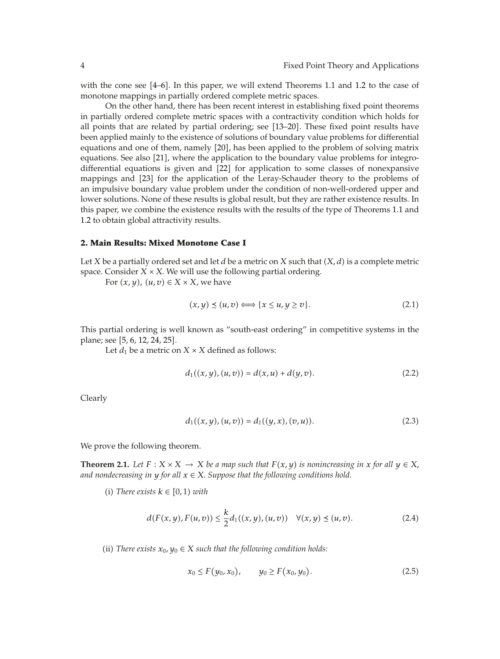with the cone see  $[4-6]$ . In this paper, we will extend Theorems 1.1 and 1.2 to the case of monotone mappings in partially ordered complete metric spaces.

On the other hand, there has been recent interest in establishing fixed point theorems in partially ordered complete metric spaces with a contractivity condition which holds for all points that are related by partial ordering; see [13–20]. These fixed point results have been applied mainly to the existence of solutions of boundary value problems for differential equations and one of them, namely [20], has been applied to the problem of solving matrix equations. See also [21], where the application to the boundary value problems for integrodifferential equations is given and  $[22]$  for application to some classes of nonexpansive mappings and [23] for the application of the Leray-Schauder theory to the problems of an impulsive boundary value problem under the condition of non-well-ordered upper and lower solutions. None of these results is global result, but they are rather existence results. In this paper, we combine the existence results with the results of the type of Theorems 1.1 and 1.2 to obtain global attractivity results.

#### **2. Main Results: Mixed Monotone Case I**

Let *X* be a partially ordered set and let *d* be a metric on *X* such that *X, d* is a complete metric space. Consider  $X \times X$ . We will use the following partial ordering.

For  $(x, y)$ *,*  $(u, v) \in X \times X$ *,* we have

$$
(x, y) \le (u, v) \Longleftrightarrow \{x \le u, y \ge v\}.
$$
 (2.1)

This partial ordering is well known as "south-east ordering" in competitive systems in the plane; see [5, 6, 12, 24, 25].

Let  $d_1$  be a metric on  $X \times X$  defined as follows:

$$
d_1((x, y), (u, v)) = d(x, u) + d(y, v).
$$
 (2.2)

Clearly

$$
d_1((x, y), (u, v)) = d_1((y, x), (v, u)).
$$
\n(2.3)

We prove the following theorem.

**Theorem 2.1.** *Let*  $F: X \times X \to X$  *be a map such that*  $F(x, y)$  *is nonincreasing in*  $x$  *for all*  $y \in X$ , *and nondecreasing in*  $y$  *for all*  $x \in X$ *. Suppose that the following conditions hold.* 

 $(i)$  *There exists*  $k \in [0, 1)$  *with* 

$$
d(F(x, y), F(u, v)) \le \frac{k}{2} d_1((x, y), (u, v)) \quad \forall (x, y) \le (u, v).
$$
 (2.4)

(ii) *There exists*  $x_0, y_0 \in X$  *such that the following condition holds:* 

$$
x_0 \le F(y_0, x_0), \qquad y_0 \ge F(x_0, y_0). \tag{2.5}
$$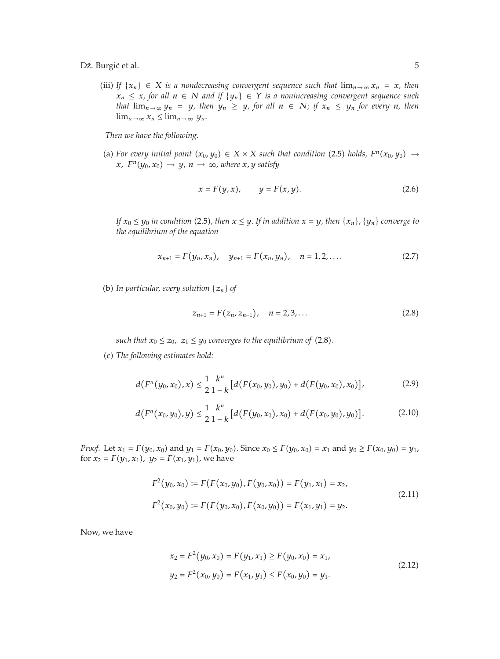(iii) *If*  $\{x_n\}$  ∈ *X is a nondecreasing convergent sequence such that*  $\lim_{n\to\infty} x_n = x$ *, then*  $x_n$  ≤ *x, for all*  $n$  ∈ *N and if*  $\{y_n\}$  ∈ *Y is a nonincreasing convergent sequence such that*  $\lim_{n\to\infty} y_n = y$ *, then*  $y_n \geq y$ *, for all*  $n \in \mathbb{N}$ *; if*  $x_n \leq y_n$  *for every n, then*  $\lim_{n\to\infty} x_n \leq \lim_{n\to\infty} y_n$ .

*Then we have the following.*

(a) For every initial point  $(x_0, y_0) \in X \times X$  such that condition (2.5) holds,  $F^n(x_0, y_0) \rightarrow$ *x*,  $F^{n}(y_0, x_0) \rightarrow y$ ,  $n \rightarrow \infty$ , where *x*, *y* satisfy

$$
x = F(y, x), \qquad y = F(x, y). \tag{2.6}
$$

*If*  $x_0 \leq y_0$  *in condition* (2.5), then  $x \leq y$ . If *in addition*  $x = y$ , *then*  $\{x_n\}$ ,  $\{y_n\}$  *converge to the equilibrium of the equation*

$$
x_{n+1} = F(y_n, x_n), \quad y_{n+1} = F(x_n, y_n), \quad n = 1, 2, .... \tag{2.7}
$$

(b) In particular, every solution  $\{z_n\}$  of

$$
z_{n+1} = F(z_n, z_{n-1}), \quad n = 2, 3, ... \tag{2.8}
$$

*such that*  $x_0 \le z_0$ ,  $z_1 \le y_0$  *converges to the equilibrium of* (2.8).

c *The following estimates hold:*

$$
d(F^{n}(y_0,x_0),x) \leq \frac{1}{2}\frac{k^{n}}{1-k}\big[d(F(x_0,y_0),y_0) + d(F(y_0,x_0),x_0)\big],
$$
\n(2.9)

$$
d(F^{n}(x_0, y_0), y) \leq \frac{1}{2} \frac{k^{n}}{1 - k} \left[ d(F(y_0, x_0), x_0) + d(F(x_0, y_0), y_0) \right].
$$
 (2.10)

*Proof.* Let  $x_1 = F(y_0, x_0)$  and  $y_1 = F(x_0, y_0)$ . Since  $x_0 \le F(y_0, x_0) = x_1$  and  $y_0 \ge F(x_0, y_0) = y_1$ , for  $x_2 = F(y_1, x_1)$ ,  $y_2 = F(x_1, y_1)$ , we have

$$
F^{2}(y_{0}, x_{0}) := F(F(x_{0}, y_{0}), F(y_{0}, x_{0})) = F(y_{1}, x_{1}) = x_{2},
$$
  
\n
$$
F^{2}(x_{0}, y_{0}) := F(F(y_{0}, x_{0}), F(x_{0}, y_{0})) = F(x_{1}, y_{1}) = y_{2}.
$$
\n(2.11)

Now, we have

$$
x_2 = F^2(y_0, x_0) = F(y_1, x_1) \ge F(y_0, x_0) = x_1,
$$
  
\n
$$
y_2 = F^2(x_0, y_0) = F(x_1, y_1) \le F(x_0, y_0) = y_1.
$$
\n(2.12)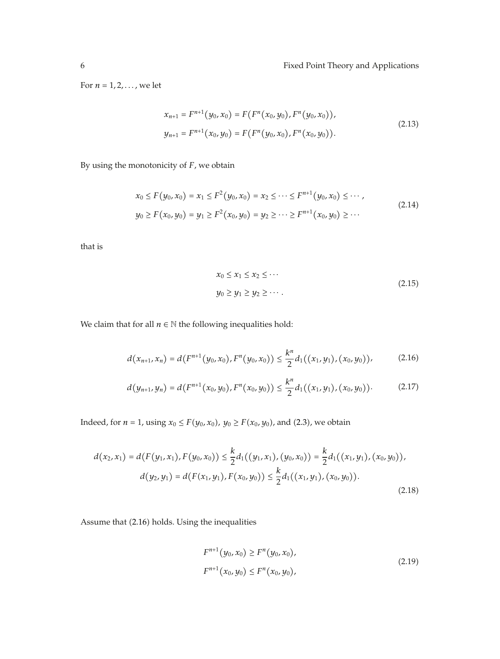For  $n = 1, 2, \ldots$ , we let

$$
x_{n+1} = F^{n+1}(y_0, x_0) = F(F^n(x_0, y_0), F^n(y_0, x_0)),
$$
  
\n
$$
y_{n+1} = F^{n+1}(x_0, y_0) = F(F^n(y_0, x_0), F^n(x_0, y_0)).
$$
\n(2.13)

By using the monotonicity of *F*, we obtain

$$
x_0 \le F(y_0, x_0) = x_1 \le F^2(y_0, x_0) = x_2 \le \dots \le F^{n+1}(y_0, x_0) \le \dots,
$$
  
\n
$$
y_0 \ge F(x_0, y_0) = y_1 \ge F^2(x_0, y_0) = y_2 \ge \dots \ge F^{n+1}(x_0, y_0) \ge \dots
$$
\n(2.14)

that is

$$
x_0 \le x_1 \le x_2 \le \cdots
$$
  
\n
$$
y_0 \ge y_1 \ge y_2 \ge \cdots
$$
  
\n
$$
(2.15)
$$

We claim that for all  $n \in \mathbb{N}$  the following inequalities hold:

$$
d(x_{n+1},x_n) = d(F^{n+1}(y_0,x_0),F^n(y_0,x_0)) \leq \frac{k^n}{2}d_1((x_1,y_1),(x_0,y_0)), \qquad (2.16)
$$

$$
d(y_{n+1}, y_n) = d(F^{n+1}(x_0, y_0), F^n(x_0, y_0)) \leq \frac{k^n}{2} d_1((x_1, y_1), (x_0, y_0)).
$$
 (2.17)

Indeed, for *n* = 1, using  $x_0 \le F(y_0, x_0)$ ,  $y_0 \ge F(x_0, y_0)$ , and (2.3), we obtain

$$
d(x_2, x_1) = d(F(y_1, x_1), F(y_0, x_0)) \le \frac{k}{2} d_1((y_1, x_1), (y_0, x_0)) = \frac{k}{2} d_1((x_1, y_1), (x_0, y_0)),
$$
  

$$
d(y_2, y_1) = d(F(x_1, y_1), F(x_0, y_0)) \le \frac{k}{2} d_1((x_1, y_1), (x_0, y_0)).
$$
\n(2.18)

Assume that (2.16) holds. Using the inequalities

$$
F^{n+1}(y_0, x_0) \ge F^n(y_0, x_0),
$$
  
\n
$$
F^{n+1}(x_0, y_0) \le F^n(x_0, y_0),
$$
\n(2.19)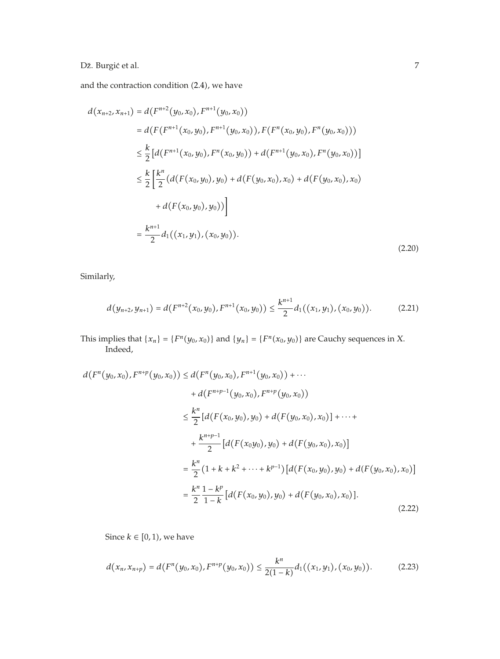## Dž. Burgić et al.  $\hspace{1.5cm}$  7

and the contraction condition  $(2.4)$ , we have

$$
d(x_{n+2}, x_{n+1}) = d(F^{n+2}(y_0, x_0), F^{n+1}(y_0, x_0))
$$
  
\n
$$
= d(F(F^{n+1}(x_0, y_0), F^{n+1}(y_0, x_0)), F(F^n(x_0, y_0), F^n(y_0, x_0)))
$$
  
\n
$$
\leq \frac{k}{2} [d(F^{n+1}(x_0, y_0), F^n(x_0, y_0)) + d(F^{n+1}(y_0, x_0), F^n(y_0, x_0))]
$$
  
\n
$$
\leq \frac{k}{2} \left[ \frac{k^n}{2} (d(F(x_0, y_0), y_0) + d(F(y_0, x_0), x_0) + d(F(y_0, x_0), x_0) + d(F(x_0, y_0), y_0)) \right]
$$
  
\n
$$
= \frac{k^{n+1}}{2} d_1((x_1, y_1), (x_0, y_0)).
$$
\n(2.20)

Similarly,

$$
d(y_{n+2}, y_{n+1}) = d(F^{n+2}(x_0, y_0), F^{n+1}(x_0, y_0)) \le \frac{k^{n+1}}{2} d_1((x_1, y_1), (x_0, y_0)).
$$
 (2.21)

This implies that  $\{x_n\} = \{F^n(y_0, x_0)\}$  and  $\{y_n\} = \{F^n(x_0, y_0)\}$  are Cauchy sequences in *X*. Indeed,

$$
d(F^{n}(y_{0},x_{0}),F^{n+p}(y_{0},x_{0})) \leq d(F^{n}(y_{0},x_{0}),F^{n+1}(y_{0},x_{0})) + \cdots + d(F^{n+p-1}(y_{0},x_{0}),F^{n+p}(y_{0},x_{0})) \n\leq \frac{k^{n}}{2}[d(F(x_{0},y_{0}),y_{0}) + d(F(y_{0},x_{0}),x_{0})] + \cdots + \frac{k^{n+p-1}}{2}[d(F(x_{0}y_{0}),y_{0}) + d(F(y_{0},x_{0}),x_{0})] = \frac{k^{n}}{2}(1+k+k^{2}+\cdots+k^{p-1})[d(F(x_{0},y_{0}),y_{0}) + d(F(y_{0},x_{0}),x_{0})] = \frac{k^{n}}{2}\frac{1-k^{p}}{1-k}[d(F(x_{0},y_{0}),y_{0}) + d(F(y_{0},x_{0}),x_{0})]. \tag{2.22}
$$

Since  $k \in [0, 1)$ , we have

$$
d(x_n, x_{n+p}) = d(F^n(y_0, x_0), F^{n+p}(y_0, x_0)) \leq \frac{k^n}{2(1-k)} d_1((x_1, y_1), (x_0, y_0)).
$$
 (2.23)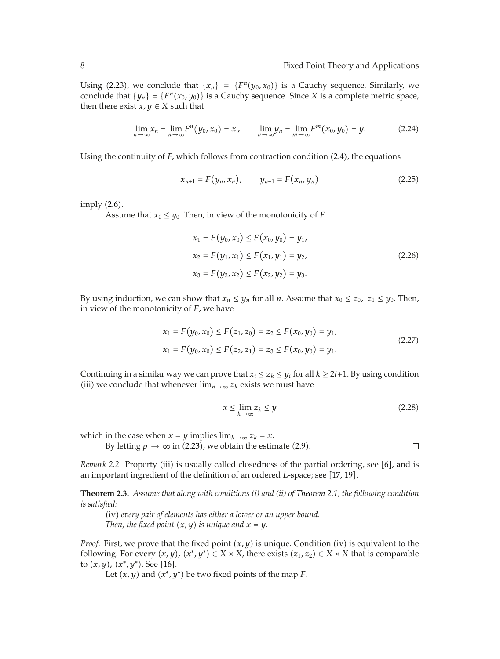Using (2.23), we conclude that  ${x_n} = {F^n(y_0, x_0)}$  is a Cauchy sequence. Similarly, we conclude that  $\{y_n\} = \{F^n(x_0, y_0)\}$  is a Cauchy sequence. Since *X* is a complete metric space, then there exist  $x, y \in X$  such that

$$
\lim_{n \to \infty} x_n = \lim_{n \to \infty} F^n(y_0, x_0) = x, \qquad \lim_{n \to \infty} y_n = \lim_{m \to \infty} F^m(x_0, y_0) = y. \tag{2.24}
$$

Using the continuity of *F*, which follows from contraction condition (2.4), the equations

$$
x_{n+1} = F(y_n, x_n), \qquad y_{n+1} = F(x_n, y_n)
$$
 (2.25)

imply  $(2.6)$ .

Assume that  $x_0 \leq y_0$ . Then, in view of the monotonicity of *F* 

$$
x_1 = F(y_0, x_0) \le F(x_0, y_0) = y_1,
$$
  
\n
$$
x_2 = F(y_1, x_1) \le F(x_1, y_1) = y_2,
$$
  
\n
$$
x_3 = F(y_2, x_2) \le F(x_2, y_2) = y_3.
$$
\n(2.26)

By using induction, we can show that  $x_n \leq y_n$  for all *n*. Assume that  $x_0 \leq z_0$ ,  $z_1 \leq y_0$ . Then, in view of the monotonicity of *F*, we have

$$
x_1 = F(y_0, x_0) \le F(z_1, z_0) = z_2 \le F(x_0, y_0) = y_1,
$$
  
\n
$$
x_1 = F(y_0, x_0) \le F(z_2, z_1) = z_3 \le F(x_0, y_0) = y_1.
$$
\n(2.27)

Continuing in a similar way we can prove that  $x_i \leq z_k \leq y_i$  for all  $k \geq 2i+1$ . By using condition (iii) we conclude that whenever  $\lim_{n\to\infty} z_k$  exists we must have

$$
x \le \lim_{k \to \infty} z_k \le y \tag{2.28}
$$

 $\Box$ 

which in the case when  $x = y$  implies  $\lim_{k \to \infty} z_k = x$ .

By letting  $p \to \infty$  in (2.23), we obtain the estimate (2.9).

*Remark 2.2.* Property (iii) is usually called closedness of the partial ordering, see [6], and is an important ingredient of the definition of an ordered *L*-space; see [17, 19].

**Theorem 2.3.** *Assume that along with conditions (i) and (ii) of Theorem 2.1, the following condition is satisfied:*

iv *every pair of elements has either a lower or an upper bound. Then, the fixed point*  $(x, y)$  *is unique and*  $x = y$ .

*Proof.* First, we prove that the fixed point  $(x, y)$  is unique. Condition (iv) is equivalent to the following. For every  $(x, y)$ ,  $(x^*, y^*) \in X \times X$ , there exists  $(z_1, z_2) \in X \times X$  that is comparable to  $(x, y)$ ,  $(x^*, y^*)$ . See [16].

Let  $(x, y)$  and  $(x^*, y^*)$  be two fixed points of the map *F*.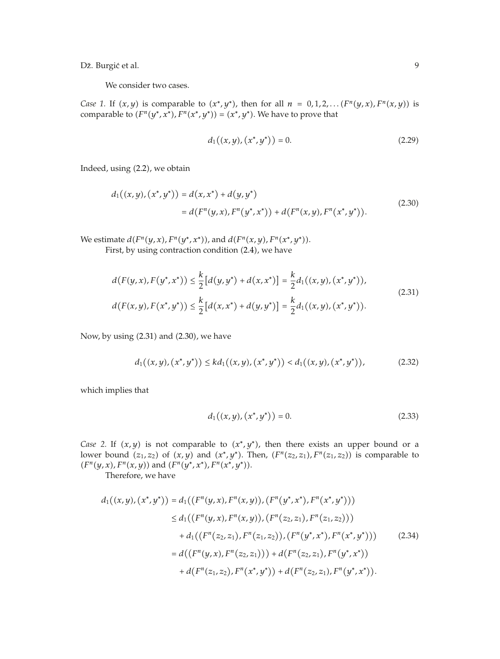Dž. Burgić et al.  $\qquad \qquad \qquad 9$ 

We consider two cases.

*Case 1.* If  $(x, y)$  is comparable to  $(x^*, y^*)$ , then for all  $n = 0, 1, 2, \ldots (F^n(y, x), F^n(x, y))$  is comparable to  $(F^n(y^*, x^*, F^n(x^*, y^*)) = (x^*, y^*)$ . We have to prove that

$$
d_1((x,y),(x^*,y^*)) = 0.
$$
 (2.29)

Indeed, using (2.2), we obtain

$$
d_1((x,y),(x^*,y^*)) = d(x,x^*) + d(y,y^*)
$$
  
=  $d(F^n(y,x),F^n(y^*,x^*)) + d(F^n(x,y),F^n(x^*,y^*))$ . (2.30)

We estimate  $d(F^n(y, x), F^n(y^*, x^*))$ , and  $d(F^n(x, y), F^n(x^*, y^*))$ .

First, by using contraction condition (2.4), we have

$$
d(F(y,x), F(y^*, x^*)) \leq \frac{k}{2} [d(y, y^*) + d(x, x^*)] = \frac{k}{2} d_1((x, y), (x^*, y^*)),
$$
  

$$
d(F(x, y), F(x^*, y^*)) \leq \frac{k}{2} [d(x, x^*) + d(y, y^*)] = \frac{k}{2} d_1((x, y), (x^*, y^*)).
$$
\n(2.31)

Now, by using  $(2.31)$  and  $(2.30)$ , we have

$$
d_1((x,y),(x^*,y^*)) \leq kd_1((x,y),(x^*,y^*)) < d_1((x,y),(x^*,y^*)),
$$
\n(2.32)

which implies that

$$
d_1((x, y), (x^*, y^*)) = 0.
$$
 (2.33)

*Case 2.* If  $(x, y)$  is not comparable to  $(x^*, y^*)$ , then there exists an upper bound or a lower bound  $(z_1, z_2)$  of  $(x, y)$  and  $(x^*, y^*)$ . Then,  $(F^n(z_2, z_1), F^n(z_1, z_2))$  is comparable to  $(F^n(y, x), F^n(x, y))$  and  $(F^n(y^*, x^*), F^n(x^*, y^*)).$ 

Therefore, we have

$$
d_1((x,y),(x^*,y^*)) = d_1((F^n(y,x),F^n(x,y)),(F^n(y^*,x^*),F^n(x^*,y^*)))
$$
  
\n
$$
\leq d_1((F^n(y,x),F^n(x,y)),(F^n(z_2,z_1),F^n(z_1,z_2)))
$$
  
\n
$$
+ d_1((F^n(z_2,z_1),F^n(z_1,z_2)),(F^n(y^*,x^*),F^n(x^*,y^*)))
$$
  
\n
$$
= d((F^n(y,x),F^n(z_2,z_1))) + d(F^n(z_2,z_1),F^n(y^*,x^*))
$$
  
\n
$$
+ d(F^n(z_1,z_2),F^n(x^*,y^*)) + d(F^n(z_2,z_1),F^n(y^*,x^*))
$$
.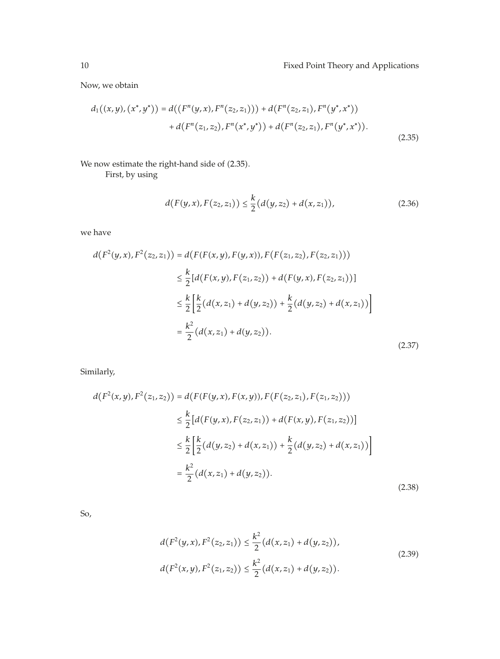Now, we obtain

$$
d_1((x,y),(x^*,y^*)) = d((F^n(y,x),F^n(z_2,z_1))) + d(F^n(z_2,z_1),F^n(y^*,x^*)) + d(F^n(z_1,z_2),F^n(x^*,y^*)) + d(F^n(z_2,z_1),F^n(y^*,x^*)).
$$
\n(2.35)

We now estimate the right-hand side of (2.35).

First, by using

$$
d(F(y,x), F(z_2, z_1)) \leq \frac{k}{2} (d(y, z_2) + d(x, z_1)),
$$
\n(2.36)

we have

$$
d(F^{2}(y,x), F^{2}(z_{2}, z_{1})) = d(F(F(x,y), F(y,x)), F(F(z_{1}, z_{2}), F(z_{2}, z_{1})))
$$
  
\n
$$
\leq \frac{k}{2} [d(F(x,y), F(z_{1}, z_{2})) + d(F(y,x), F(z_{2}, z_{1}))]
$$
  
\n
$$
\leq \frac{k}{2} \left[ \frac{k}{2} (d(x, z_{1}) + d(y, z_{2})) + \frac{k}{2} (d(y, z_{2}) + d(x, z_{1})) \right]
$$
  
\n
$$
= \frac{k^{2}}{2} (d(x, z_{1}) + d(y, z_{2})).
$$
\n(2.37)

Similarly,

$$
d(F^{2}(x, y), F^{2}(z_{1}, z_{2})) = d(F(F(y, x), F(x, y)), F(F(z_{2}, z_{1}), F(z_{1}, z_{2})))
$$
  
\n
$$
\leq \frac{k}{2} [d(F(y, x), F(z_{2}, z_{1})) + d(F(x, y), F(z_{1}, z_{2}))]
$$
  
\n
$$
\leq \frac{k}{2} \Big[ \frac{k}{2} (d(y, z_{2}) + d(x, z_{1})) + \frac{k}{2} (d(y, z_{2}) + d(x, z_{1})) \Big]
$$
  
\n
$$
= \frac{k^{2}}{2} (d(x, z_{1}) + d(y, z_{2})).
$$
\n(2.38)

So,

$$
d(F^{2}(y, x), F^{2}(z_{2}, z_{1})) \leq \frac{k^{2}}{2} (d(x, z_{1}) + d(y, z_{2})),
$$
  
\n
$$
d(F^{2}(x, y), F^{2}(z_{1}, z_{2})) \leq \frac{k^{2}}{2} (d(x, z_{1}) + d(y, z_{2})).
$$
\n(2.39)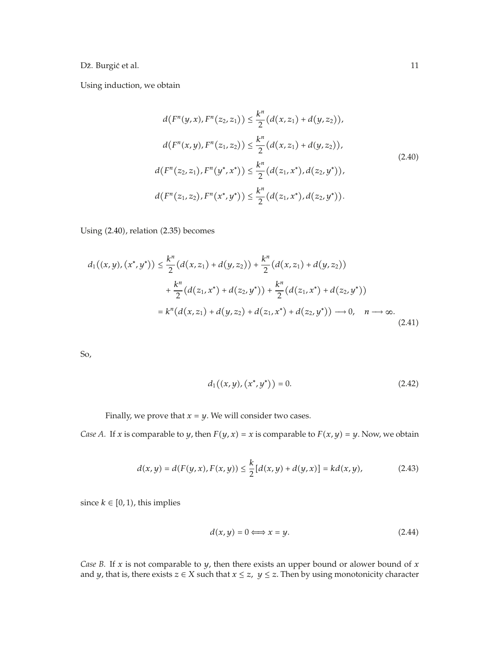Using induction, we obtain

$$
d(F^{n}(y,x), F^{n}(z_2, z_1)) \leq \frac{k^{n}}{2} (d(x, z_1) + d(y, z_2)),
$$
  
\n
$$
d(F^{n}(x,y), F^{n}(z_1, z_2)) \leq \frac{k^{n}}{2} (d(x, z_1) + d(y, z_2)),
$$
  
\n
$$
d(F^{n}(z_2, z_1), F^{n}(y^*, x^*)) \leq \frac{k^{n}}{2} (d(z_1, x^*), d(z_2, y^*)),
$$
  
\n
$$
d(F^{n}(z_1, z_2), F^{n}(x^*, y^*)) \leq \frac{k^{n}}{2} (d(z_1, x^*), d(z_2, y^*)).
$$
\n(2.40)

Using (2.40), relation (2.35) becomes

$$
d_1((x,y),(x^*,y^*)) \leq \frac{k^n}{2}(d(x,z_1) + d(y,z_2)) + \frac{k^n}{2}(d(x,z_1) + d(y,z_2))
$$
  
+ 
$$
\frac{k^n}{2}(d(z_1,x^*) + d(z_2,y^*)) + \frac{k^n}{2}(d(z_1,x^*) + d(z_2,y^*))
$$
  
= 
$$
k^n(d(x,z_1) + d(y,z_2) + d(z_1,x^*) + d(z_2,y^*)) \longrightarrow 0, \quad n \longrightarrow \infty.
$$
 (2.41)

So,

$$
d_1((x,y),(x^*,y^*)) = 0.
$$
 (2.42)

Finally, we prove that  $x = y$ . We will consider two cases.

*Case A.* If *x* is comparable to *y*, then  $F(y, x) = x$  is comparable to  $F(x, y) = y$ . Now, we obtain

$$
d(x,y) = d(F(y,x), F(x,y)) \le \frac{k}{2} [d(x,y) + d(y,x)] = kd(x,y),
$$
\n(2.43)

since  $k \in [0, 1)$ , this implies

$$
d(x, y) = 0 \Longleftrightarrow x = y. \tag{2.44}
$$

*Case B.* If *x* is not comparable to *y,* then there exists an upper bound or alower bound of *x* and *y*, that is, there exists  $z \in X$  such that  $x \le z$ ,  $y \le z$ . Then by using monotonicity character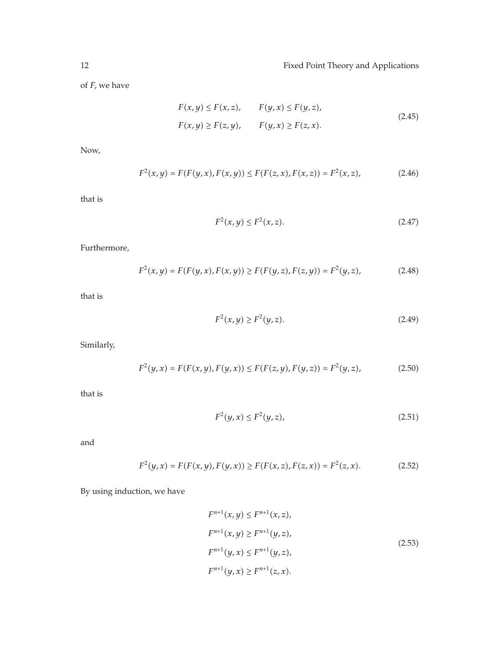of *F,* we have

$$
F(x, y) \le F(x, z), \qquad F(y, x) \le F(y, z),
$$
  
 
$$
F(x, y) \ge F(z, y), \qquad F(y, x) \ge F(z, x).
$$
 (2.45)

Now,

$$
F^{2}(x, y) = F(F(y, x), F(x, y)) \le F(F(z, x), F(x, z)) = F^{2}(x, z),
$$
\n(2.46)

that is

$$
F^2(x, y) \le F^2(x, z). \tag{2.47}
$$

Furthermore,

$$
F^{2}(x, y) = F(F(y, x), F(x, y)) \ge F(F(y, z), F(z, y)) = F^{2}(y, z),
$$
\n(2.48)

that is

$$
F^2(x, y) \ge F^2(y, z). \tag{2.49}
$$

Similarly,

$$
F^{2}(y,x) = F(F(x,y), F(y,x)) \le F(F(z,y), F(y,z)) = F^{2}(y,z),
$$
\n(2.50)

that is

$$
F^2(y, x) \le F^2(y, z),
$$
\n(2.51)

and

$$
F^{2}(y, x) = F(F(x, y), F(y, x)) \ge F(F(x, z), F(z, x)) = F^{2}(z, x).
$$
 (2.52)

By using induction, we have

$$
F^{n+1}(x, y) \le F^{n+1}(x, z),
$$
  
\n
$$
F^{n+1}(x, y) \ge F^{n+1}(y, z),
$$
  
\n
$$
F^{n+1}(y, x) \le F^{n+1}(y, z),
$$
  
\n
$$
F^{n+1}(y, x) \ge F^{n+1}(z, x).
$$
  
\n(2.53)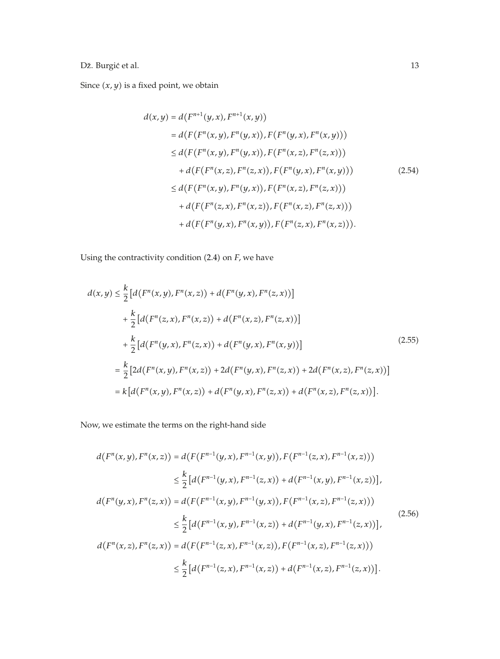Since  $(x, y)$  is a fixed point, we obtain

$$
d(x,y) = d(F^{n+1}(y,x), F^{n+1}(x,y))
$$
  
\n
$$
= d(F(F^n(x,y), F^n(y,x)), F(F^n(y,x), F^n(x,y)))
$$
  
\n
$$
\leq d(F(F^n(x,y), F^n(y,x)), F(F^n(x,z), F^n(z,x)))
$$
  
\n
$$
+ d(F(F^n(x,z), F^n(z,x)), F(F^n(y,x), F^n(x,y)))
$$
  
\n
$$
\leq d(F(F^n(x,y), F^n(y,x)), F(F^n(x,z), F^n(z,x)))
$$
  
\n
$$
+ d(F(F^n(z,x), F^n(x,z)), F(F^n(x,z), F^n(z,x)))
$$
  
\n
$$
+ d(F(F^n(y,x), F^n(x,y)), F(F^n(z,x), F^n(x,z))).
$$

Using the contractivity condition (2.4) on *F*, we have

$$
d(x,y) \leq \frac{k}{2} [d(F^n(x,y), F^n(x,z)) + d(F^n(y,x), F^n(z,x))]
$$
  
+  $\frac{k}{2} [d(F^n(z,x), F^n(x,z)) + d(F^n(x,z), F^n(z,x))]$   
+  $\frac{k}{2} [d(F^n(y,x), F^n(z,x)) + d(F^n(y,x), F^n(x,y))]$   
=  $\frac{k}{2} [2d(F^n(x,y), F^n(x,z)) + 2d(F^n(y,x), F^n(z,x)) + 2d(F^n(x,z), F^n(z,x))]$   
=  $k [d(F^n(x,y), F^n(x,z)) + d(F^n(y,x), F^n(z,x)) + d(F^n(x,z), F^n(z,x))].$  (2.55)

Now, we estimate the terms on the right-hand side

$$
d(F^{n}(x, y), F^{n}(x, z)) = d(F(F^{n-1}(y, x), F^{n-1}(x, y)), F(F^{n-1}(z, x), F^{n-1}(x, z)))
$$
  
\n
$$
\leq \frac{k}{2} [d(F^{n-1}(y, x), F^{n-1}(z, x)) + d(F^{n-1}(x, y), F^{n-1}(x, z))],
$$
  
\n
$$
d(F^{n}(y, x), F^{n}(z, x)) = d(F(F^{n-1}(x, y), F^{n-1}(y, x)), F(F^{n-1}(x, z), F^{n-1}(z, x)))
$$
  
\n
$$
\leq \frac{k}{2} [d(F^{n-1}(x, y), F^{n-1}(x, z)) + d(F^{n-1}(y, x), F^{n-1}(z, x))],
$$
  
\n
$$
d(F^{n}(x, z), F^{n}(z, x)) = d(F(F^{n-1}(z, x), F^{n-1}(x, z)), F(F^{n-1}(x, z), F^{n-1}(z, x)))
$$
  
\n
$$
\leq \frac{k}{2} [d(F^{n-1}(z, x), F^{n-1}(x, z)) + d(F^{n-1}(x, z), F^{n-1}(z, x))].
$$
  
\n(2.56)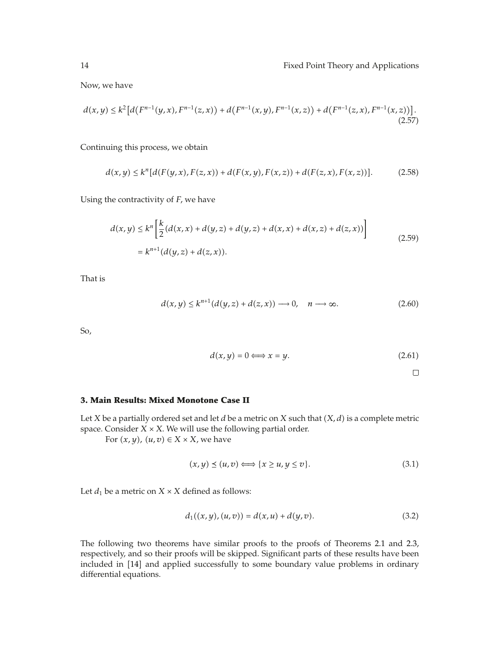Now, we have

$$
d(x,y) \le k^2 \left[ d\left(F^{n-1}(y,x), F^{n-1}(z,x)\right) + d\left(F^{n-1}(x,y), F^{n-1}(x,z)\right) + d\left(F^{n-1}(z,x), F^{n-1}(x,z)\right) \right].
$$
\n(2.57)

Continuing this process, we obtain

$$
d(x,y) \le k^n [d(F(y,x),F(z,x)) + d(F(x,y),F(x,z)) + d(F(z,x),F(x,z))]. \tag{2.58}
$$

Using the contractivity of *F,* we have

$$
d(x,y) \le k^n \left[ \frac{k}{2} (d(x,x) + d(y,z) + d(y,z) + d(x,x) + d(x,z) + d(z,x)) \right]
$$
  
=  $k^{n+1} (d(y,z) + d(z,x)).$  (2.59)

That is

$$
d(x,y) \le k^{n+1}(d(y,z) + d(z,x)) \longrightarrow 0, \quad n \longrightarrow \infty. \tag{2.60}
$$

So,

$$
d(x, y) = 0 \Longleftrightarrow x = y. \tag{2.61}
$$

 $\Box$ 

#### **3. Main Results: Mixed Monotone Case II**

Let *X* be a partially ordered set and let *d* be a metric on *X* such that  $(X, d)$  is a complete metric space. Consider  $X \times X$ . We will use the following partial order.

For  $(x, y)$ *,*  $(u, v) \in X \times X$ *,* we have

$$
(x, y) \le (u, v) \Longleftrightarrow \{x \ge u, y \le v\}.
$$
\n
$$
(3.1)
$$

Let  $d_1$  be a metric on  $X \times X$  defined as follows:

$$
d_1((x,y),(u,v)) = d(x,u) + d(y,v).
$$
 (3.2)

The following two theorems have similar proofs to the proofs of Theorems 2.1 and 2.3, respectively, and so their proofs will be skipped. Significant parts of these results have been included in [14] and applied successfully to some boundary value problems in ordinary differential equations.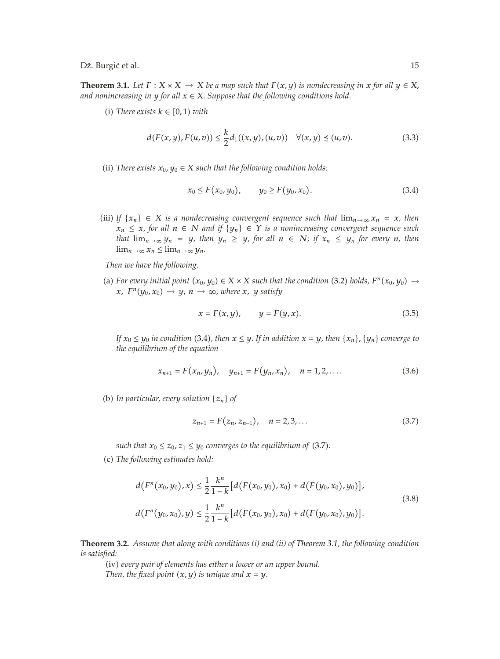**Theorem 3.1.** *Let*  $F: X \times X \to X$  *be a map such that*  $F(x, y)$  *is nondecreasing in*  $x$  *for all*  $y \in X$ , *and nonincreasing in <sup>y</sup> for all <sup>x</sup>* <sup>∈</sup> *X. Suppose that the following conditions hold.*

 $(i)$  *There exists*  $k \in [0, 1)$  *with* 

$$
d(F(x, y), F(u, v)) \le \frac{k}{2} d_1((x, y), (u, v)) \quad \forall (x, y) \le (u, v).
$$
 (3.3)

(ii) *There exists*  $x_0, y_0 \in X$  *such that the following condition holds:* 

$$
x_0 \le F(x_0, y_0), \qquad y_0 \ge F(y_0, x_0). \tag{3.4}
$$

(iii) *If*  $\{x_n\}$  ∈ *X is a nondecreasing convergent sequence such that*  $\lim_{n\to\infty} x_n = x$ *, then*  $x_n$  ≤ *x, for all*  $n$  ∈ *N and if*  $\{y_n\}$  ∈ *Y is a nonincreasing convergent sequence such that*  $\lim_{n\to\infty} y_n = y$ *, then*  $y_n \geq y$ *, for all*  $n \in N$ *; if*  $x_n \leq y_n$  *for every n, then*  $\lim_{n\to\infty} x_n \leq \lim_{n\to\infty} y_n$ .

*Then we have the following.*

(a) For every initial point  $(x_0, y_0) \in X \times X$  such that the condition (3.2) holds,  $F^n(x_0, y_0) \rightarrow$ *x*,  $F^{n}(y_0, x_0) \rightarrow y$ ,  $n \rightarrow \infty$ , where *x*, *y* satisfy

$$
x = F(x, y), \qquad y = F(y, x). \tag{3.5}
$$

*If*  $x_0 \le y_0$  *in condition* (3.4*)*, then  $x \le y$ . If *in addition*  $x = y$ , then  $\{x_n\}$ ,  $\{y_n\}$  *converge to the equilibrium of the equation*

$$
x_{n+1} = F(x_n, y_n), \quad y_{n+1} = F(y_n, x_n), \quad n = 1, 2, .... \tag{3.6}
$$

(b) In particular, every solution  $\{z_n\}$  of

$$
z_{n+1} = F(z_n, z_{n-1}), \quad n = 2, 3, ... \tag{3.7}
$$

*such that*  $x_0 \leq z_0$ ,  $z_1 \leq y_0$  *converges to the equilibrium of* (3.7).

c *The following estimates hold:*

$$
d(F^{n}(x_{0}, y_{0}), x) \leq \frac{1}{2} \frac{k^{n}}{1 - k} [d(F(x_{0}, y_{0}), x_{0}) + d(F(y_{0}, x_{0}), y_{0})],
$$
  

$$
d(F^{n}(y_{0}, x_{0}), y) \leq \frac{1}{2} \frac{k^{n}}{1 - k} [d(F(x_{0}, y_{0}), x_{0}) + d(F(y_{0}, x_{0}), y_{0})].
$$
\n(3.8)

**Theorem 3.2.** *Assume that along with conditions (i) and (ii) of Theorem 3.1, the following condition is satisfied:*

iv *every pair of elements has either a lower or an upper bound. Then, the fixed point*  $(x, y)$  *is unique and*  $x = y$ .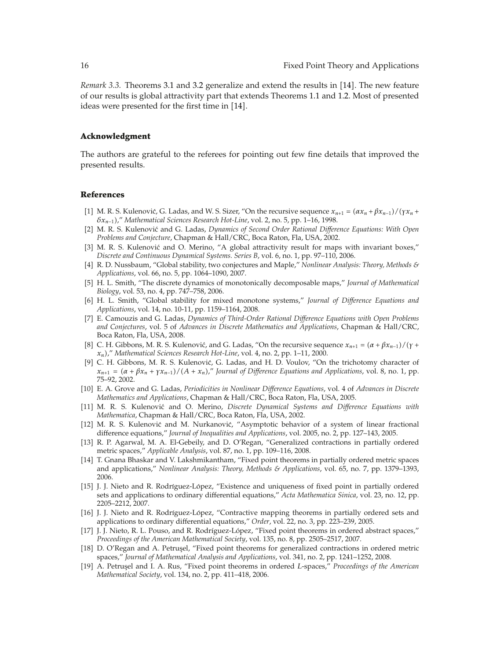*Remark 3.3.* Theorems 3.1 and 3.2 generalize and extend the results in [14]. The new feature of our results is global attractivity part that extends Theorems 1.1 and 1.2. Most of presented ideas were presented for the first time in [14].

#### **Acknowledgment**

The authors are grateful to the referees for pointing out few fine details that improved the presented results.

#### **References**

- 1 M. R. S. Kulenović, G. Ladas, and W. S. Sizer, "On the recursive sequence  $x_{n+1} = (\alpha x_n + \beta x_{n-1})/(\gamma x_n + \beta x_n)$ *δxn*−1," *Mathematical Sciences Research Hot-Line*, vol. 2, no. 5, pp. 1–16, 1998.
- 2 M. R. S. Kulenovic and G. Ladas, ´ *Dynamics of Second Order Rational Difference Equations: With Open Problems and Conjecture*, Chapman & Hall/CRC, Boca Raton, Fla, USA, 2002.
- [3] M. R. S. Kulenović and O. Merino, "A global attractivity result for maps with invariant boxes," *Discrete and Continuous Dynamical Systems. Series B*, vol. 6, no. 1, pp. 97–110, 2006.
- 4 R. D. Nussbaum, "Global stability, two conjectures and Maple," *Nonlinear Analysis: Theory, Methods & Applications*, vol. 66, no. 5, pp. 1064–1090, 2007.
- 5 H. L. Smith, "The discrete dynamics of monotonically decomposable maps," *Journal of Mathematical Biology*, vol. 53, no. 4, pp. 747–758, 2006.
- 6 H. L. Smith, "Global stability for mixed monotone systems," *Journal of Difference Equations and Applications*, vol. 14, no. 10-11, pp. 1159–1164, 2008.
- 7 E. Camouzis and G. Ladas, *Dynamics of Third-Order Rational Difference Equations with Open Problems and Conjectures*, vol. 5 of *Advances in Discrete Mathematics and Applications*, Chapman & Hall/CRC, Boca Raton, Fla, USA, 2008.
- 8 C. H. Gibbons, M. R. S. Kulenović, and G. Ladas, "On the recursive sequence  $x_{n+1} = (\alpha + \beta x_{n-1})/(\gamma + \beta x_n)$ *xn*," *Mathematical Sciences Research Hot-Line*, vol. 4, no. 2, pp. 1–11, 2000.
- [9] C. H. Gibbons, M. R. S. Kulenović, G. Ladas, and H. D. Voulov, "On the trichotomy character of  $x_{n+1} = (\alpha + \beta x_n + \gamma x_{n-1})/(A + x_n)$ ," *Journal of Difference Equations and Applications*, vol. 8, no. 1, pp. 75–92, 2002.
- 10 E. A. Grove and G. Ladas, *Periodicities in Nonlinear Difference Equations*, vol. 4 of *Advances in Discrete Mathematics and Applications*, Chapman & Hall/CRC, Boca Raton, Fla, USA, 2005.
- 11 M. R. S. Kulenovic and O. Merino, ´ *Discrete Dynamical Systems and Difference Equations with Mathematica*, Chapman & Hall/CRC, Boca Raton, Fla, USA, 2002.
- [12] M. R. S. Kulenović and M. Nurkanović, "Asymptotic behavior of a system of linear fractional difference equations," *Journal of Inequalities and Applications*, vol. 2005, no. 2, pp. 127–143, 2005.
- [13] R. P. Agarwal, M. A. El-Gebeily, and D. O'Regan, "Generalized contractions in partially ordered metric spaces," *Applicable Analysis*, vol. 87, no. 1, pp. 109–116, 2008.
- 14 T. Gnana Bhaskar and V. Lakshmikantham, "Fixed point theorems in partially ordered metric spaces and applications," *Nonlinear Analysis: Theory, Methods & Applications*, vol. 65, no. 7, pp. 1379–1393, 2006.
- [15] J. J. Nieto and R. Rodríguez-López, "Existence and uniqueness of fixed point in partially ordered sets and applications to ordinary differential equations," *Acta Mathematica Sinica*, vol. 23, no. 12, pp. 2205–2212, 2007.
- [16] J. J. Nieto and R. Rodríguez-López, "Contractive mapping theorems in partially ordered sets and applications to ordinary differential equations," *Order*, vol. 22, no. 3, pp. 223–239, 2005.
- [17] J. J. Nieto, R. L. Pouso, and R. Rodríguez-López, "Fixed point theorems in ordered abstract spaces," *Proceedings of the American Mathematical Society*, vol. 135, no. 8, pp. 2505–2517, 2007.
- [18] D. O'Regan and A. Petruşel, "Fixed point theorems for generalized contractions in ordered metric spaces," *Journal of Mathematical Analysis and Applications*, vol. 341, no. 2, pp. 1241–1252, 2008.
- 19 A. Petrus¸el and I. A. Rus, "Fixed point theorems in ordered *L*-spaces," *Proceedings of the American Mathematical Society*, vol. 134, no. 2, pp. 411–418, 2006.